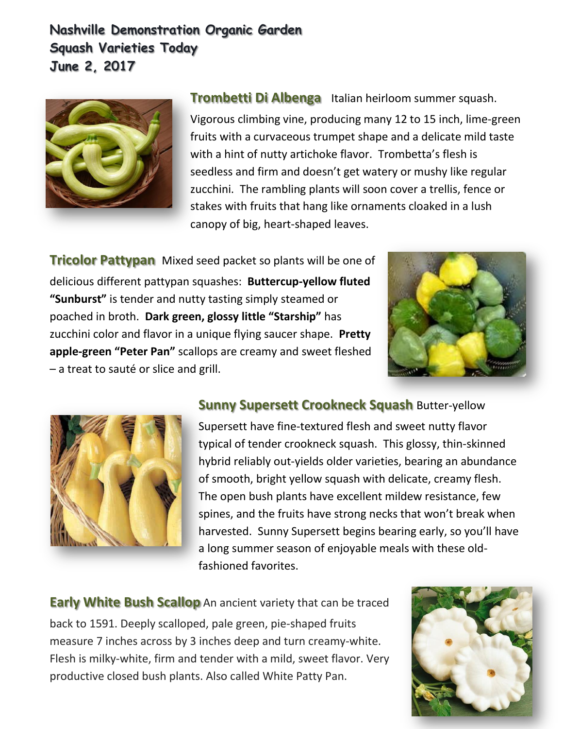**Nashville Demonstration Organic Garden Squash Varieties Today June 2, 2017**



**Trombetti Di Albenga** Italian heirloom summer squash. Vigorous climbing vine, producing many 12 to 15 inch, lime-green fruits with a curvaceous trumpet shape and a delicate mild taste with a hint of nutty artichoke flavor. Trombetta's flesh is seedless and firm and doesn't get watery or mushy like regular zucchini. The rambling plants will soon cover a trellis, fence or stakes with fruits that hang like ornaments cloaked in a lush canopy of big, heart-shaped leaves.

**Tricolor Pattypan** Mixed seed packet so plants will be one of delicious different pattypan squashes: **Buttercup-yellow fluted "Sunburst"** is tender and nutty tasting simply steamed or poached in broth. **Dark green, glossy little "Starship"** has zucchini color and flavor in a unique flying saucer shape. **Pretty apple-green "Peter Pan"** scallops are creamy and sweet fleshed – a treat to sauté or slice and grill.





## **Sunny Supersett Crookneck Squash** Butter-yellow

Supersett have fine-textured flesh and sweet nutty flavor typical of tender crookneck squash. This glossy, thin-skinned hybrid reliably out-yields older varieties, bearing an abundance of smooth, bright yellow squash with delicate, creamy flesh. The open bush plants have excellent mildew resistance, few spines, and the fruits have strong necks that won't break when harvested. Sunny Supersett begins bearing early, so you'll have a long summer season of enjoyable meals with these oldfashioned favorites.

**Early White Bush Scallop** An ancient variety that can be traced back to 1591. Deeply scalloped, pale green, pie-shaped fruits measure 7 inches across by 3 inches deep and turn creamy-white. Flesh is milky-white, firm and tender with a mild, sweet flavor. Very productive closed bush plants. Also called White Patty Pan.